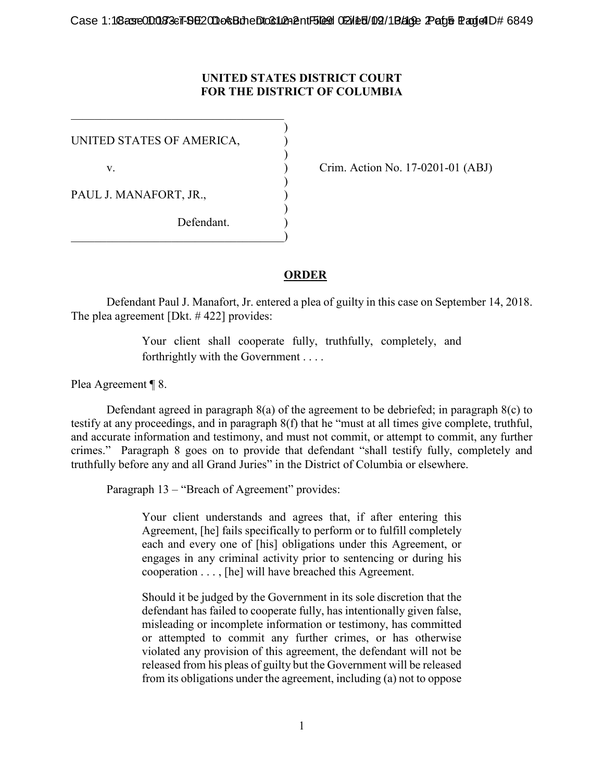## **UNITED STATES DISTRICT COURT FOR THE DISTRICT OF COLUMBIA**

)

)

)

)

UNITED STATES OF AMERICA, )

 $\overline{\mathcal{L}}$  , and the state of the state of the state of the state of the state of the state of the state of the state of the state of the state of the state of the state of the state of the state of the state of the stat

PAUL J. MANAFORT, JR.,

Defendant.  $\hspace{.5em}$   $\hspace{.5em}$   $\hspace{.5em}$   $\hspace{.5em}$   $\hspace{.5em}$   $\hspace{.5em}$   $\hspace{.5em}$   $\hspace{.5em}$   $\hspace{.5em}$   $\hspace{.5em}$   $\hspace{.5em}$   $\hspace{.5em}$   $\hspace{.5em}$   $\hspace{.5em}$   $\hspace{.5em}$   $\hspace{.5em}$   $\hspace{.5em}$   $\hspace{.5em}$   $\hspace{.5em}$   $\hspace{.5em}$ 

v. ) Crim. Action No. 17-0201-01 (ABJ)

## **ORDER**

Defendant Paul J. Manafort, Jr. entered a plea of guilty in this case on September 14, 2018. The plea agreement [Dkt. # 422] provides:

> Your client shall cooperate fully, truthfully, completely, and forthrightly with the Government . . . .

Plea Agreement ¶ 8.

Defendant agreed in paragraph 8(a) of the agreement to be debriefed; in paragraph 8(c) to testify at any proceedings, and in paragraph 8(f) that he "must at all times give complete, truthful, and accurate information and testimony, and must not commit, or attempt to commit, any further crimes." Paragraph 8 goes on to provide that defendant "shall testify fully, completely and truthfully before any and all Grand Juries" in the District of Columbia or elsewhere.

Paragraph 13 – "Breach of Agreement" provides:

Your client understands and agrees that, if after entering this Agreement, [he] fails specifically to perform or to fulfill completely each and every one of [his] obligations under this Agreement, or engages in any criminal activity prior to sentencing or during his cooperation . . . , [he] will have breached this Agreement.

Should it be judged by the Government in its sole discretion that the defendant has failed to cooperate fully, has intentionally given false, misleading or incomplete information or testimony, has committed or attempted to commit any further crimes, or has otherwise violated any provision of this agreement, the defendant will not be released from his pleas of guilty but the Government will be released from its obligations under the agreement, including (a) not to oppose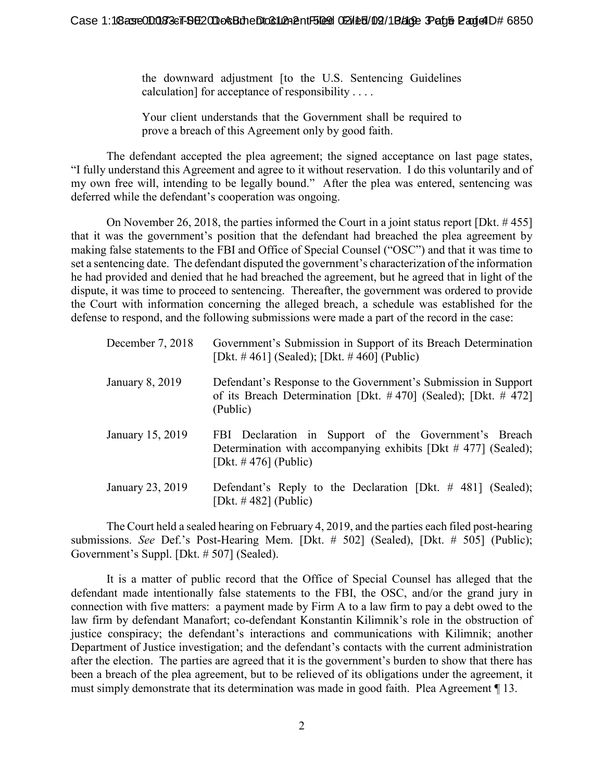the downward adjustment [to the U.S. Sentencing Guidelines calculation] for acceptance of responsibility . . . .

Your client understands that the Government shall be required to prove a breach of this Agreement only by good faith.

The defendant accepted the plea agreement; the signed acceptance on last page states, "I fully understand this Agreement and agree to it without reservation. I do this voluntarily and of my own free will, intending to be legally bound." After the plea was entered, sentencing was deferred while the defendant's cooperation was ongoing.

On November 26, 2018, the parties informed the Court in a joint status report [Dkt. # 455] that it was the government's position that the defendant had breached the plea agreement by making false statements to the FBI and Office of Special Counsel ("OSC") and that it was time to set a sentencing date. The defendant disputed the government's characterization of the information he had provided and denied that he had breached the agreement, but he agreed that in light of the dispute, it was time to proceed to sentencing. Thereafter, the government was ordered to provide the Court with information concerning the alleged breach, a schedule was established for the defense to respond, and the following submissions were made a part of the record in the case:

| December 7, 2018 | Government's Submission in Support of its Breach Determination<br>[Dkt. #461] (Sealed); [Dkt. #460] (Public)                                        |
|------------------|-----------------------------------------------------------------------------------------------------------------------------------------------------|
| January 8, 2019  | Defendant's Response to the Government's Submission in Support<br>of its Breach Determination [Dkt. $\#$ 470] (Sealed); [Dkt. $\#$ 472]<br>(Public) |
| January 15, 2019 | FBI Declaration in Support of the Government's Breach<br>Determination with accompanying exhibits [Dkt # 477] (Sealed);<br>[Dkt. $\#$ 476] (Public) |
| January 23, 2019 | Defendant's Reply to the Declaration [Dkt. $\#$ 481] (Sealed);<br>[Dkt. $\#$ 482] (Public)                                                          |

The Court held a sealed hearing on February 4, 2019, and the parties each filed post-hearing submissions. *See* Def.'s Post-Hearing Mem. [Dkt. # 502] (Sealed), [Dkt. # 505] (Public); Government's Suppl. [Dkt. # 507] (Sealed).

It is a matter of public record that the Office of Special Counsel has alleged that the defendant made intentionally false statements to the FBI, the OSC, and/or the grand jury in connection with five matters: a payment made by Firm A to a law firm to pay a debt owed to the law firm by defendant Manafort; co-defendant Konstantin Kilimnik's role in the obstruction of justice conspiracy; the defendant's interactions and communications with Kilimnik; another Department of Justice investigation; and the defendant's contacts with the current administration after the election. The parties are agreed that it is the government's burden to show that there has been a breach of the plea agreement, but to be relieved of its obligations under the agreement, it must simply demonstrate that its determination was made in good faith. Plea Agreement ¶ 13.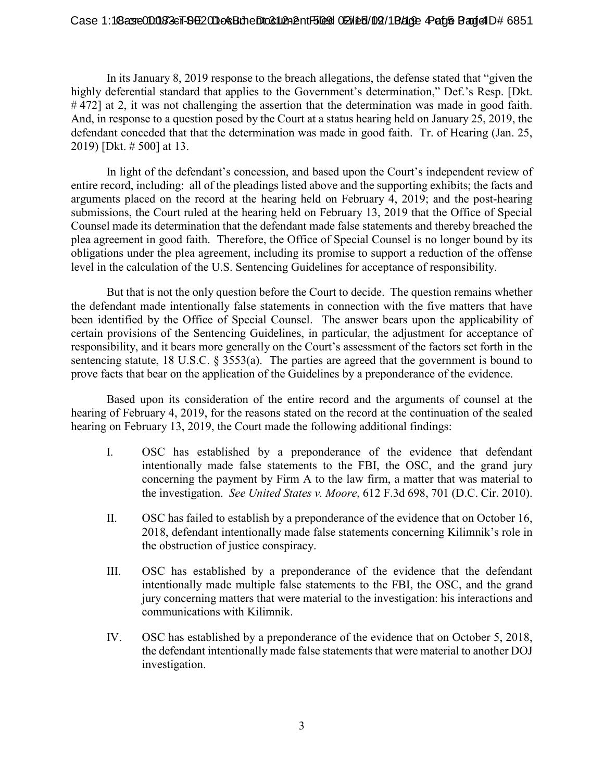## Case 1:18 asse 00083 eT-96 2010 eSt die Drocklikhent Blood 02/18/2019 August 2 Page Bag of D# 6851

In its January 8, 2019 response to the breach allegations, the defense stated that "given the highly deferential standard that applies to the Government's determination," Def.'s Resp. [Dkt. #472] at 2, it was not challenging the assertion that the determination was made in good faith. And, in response to a question posed by the Court at a status hearing held on January 25, 2019, the defendant conceded that that the determination was made in good faith. Tr. of Hearing (Jan. 25, 2019) [Dkt. # 500] at 13.

In light of the defendant's concession, and based upon the Court's independent review of entire record, including: all of the pleadings listed above and the supporting exhibits; the facts and arguments placed on the record at the hearing held on February 4, 2019; and the post-hearing submissions, the Court ruled at the hearing held on February 13, 2019 that the Office of Special Counsel made its determination that the defendant made false statements and thereby breached the plea agreement in good faith. Therefore, the Office of Special Counsel is no longer bound by its obligations under the plea agreement, including its promise to support a reduction of the offense level in the calculation of the U.S. Sentencing Guidelines for acceptance of responsibility.

But that is not the only question before the Court to decide. The question remains whether the defendant made intentionally false statements in connection with the five matters that have been identified by the Office of Special Counsel. The answer bears upon the applicability of certain provisions of the Sentencing Guidelines, in particular, the adjustment for acceptance of responsibility, and it bears more generally on the Court's assessment of the factors set forth in the sentencing statute, 18 U.S.C. § 3553(a). The parties are agreed that the government is bound to prove facts that bear on the application of the Guidelines by a preponderance of the evidence.

Based upon its consideration of the entire record and the arguments of counsel at the hearing of February 4, 2019, for the reasons stated on the record at the continuation of the sealed hearing on February 13, 2019, the Court made the following additional findings:

- I. OSC has established by a preponderance of the evidence that defendant intentionally made false statements to the FBI, the OSC, and the grand jury concerning the payment by Firm A to the law firm, a matter that was material to the investigation. *See United States v. Moore*, 612 F.3d 698, 701 (D.C. Cir. 2010).
- II. OSC has failed to establish by a preponderance of the evidence that on October 16, 2018, defendant intentionally made false statements concerning Kilimnik's role in the obstruction of justice conspiracy.
- III. OSC has established by a preponderance of the evidence that the defendant intentionally made multiple false statements to the FBI, the OSC, and the grand jury concerning matters that were material to the investigation: his interactions and communications with Kilimnik.
- IV. OSC has established by a preponderance of the evidence that on October 5, 2018, the defendant intentionally made false statements that were material to another DOJ investigation.